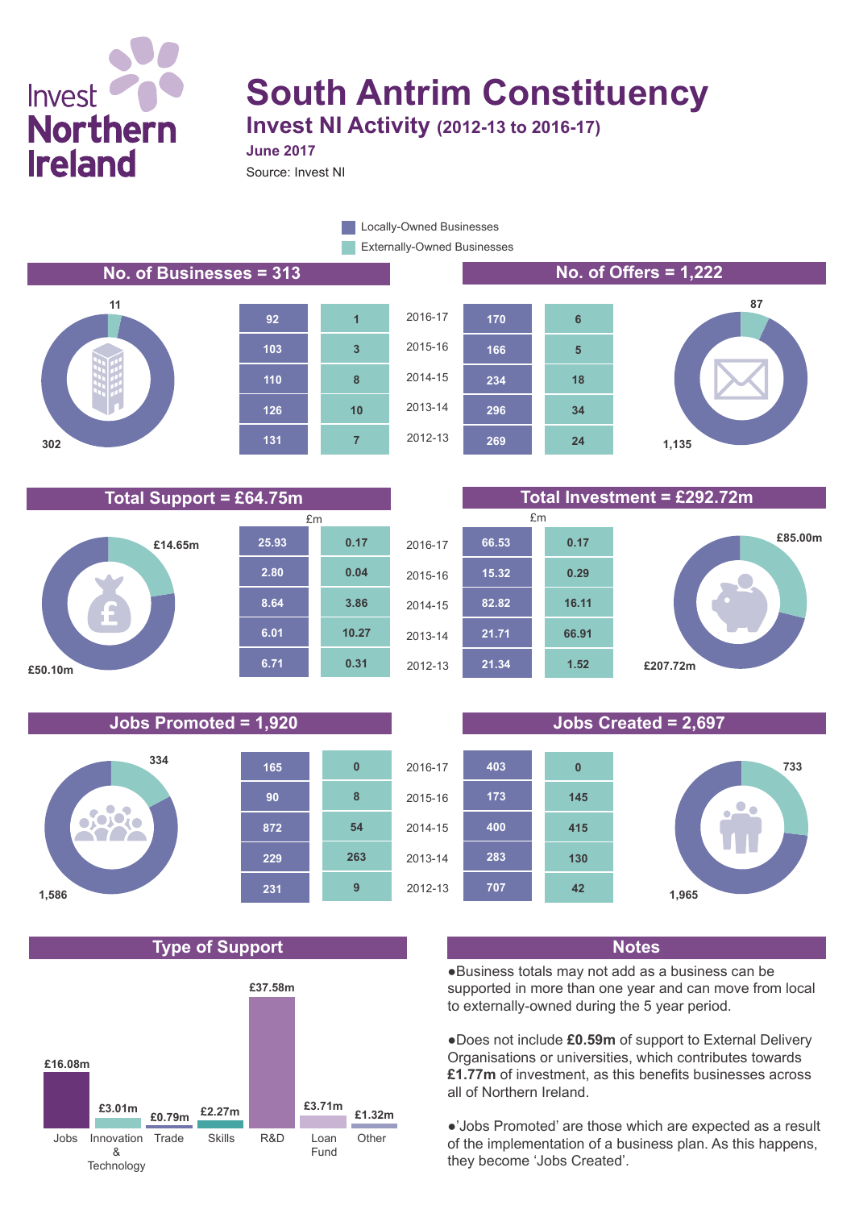# Invest **Northern Ireland**

## **South Antrim Constituency Invest NI Activity (2012-13 to 2016-17)**

**June 2017**

Source: Invest NI

Externally-Owned Businesses **Locally-Owned Businesses** 

### **No. of Businesses = 313 No. of Offers = 1,222**











### **Jobs Promoted = 1,920 Jobs Created = 2,697**



### **Type of Support Notes**



**Total Support = £64.75m Total Investment = £292.72m**





●Business totals may not add as a business can be supported in more than one year and can move from local to externally-owned during the 5 year period.

●Does not include **£0.59m** of support to External Delivery Organisations or universities, which contributes towards **£1.77m** of investment, as this benefits businesses across all of Northern Ireland.

●'Jobs Promoted' are those which are expected as a result of the implementation of a business plan. As this happens, they become 'Jobs Created'.